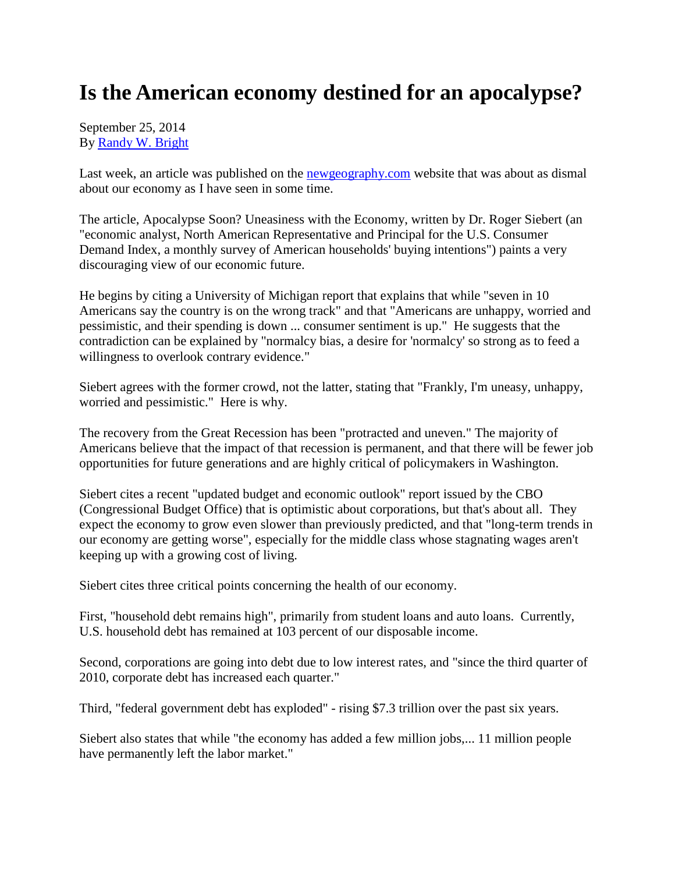## **Is the American economy destined for an apocalypse?**

September 25, 2014 By [Randy W. Bright](http://www.tulsabeacon.com/author/slug-o6yd1v)

Last week, an article was published on the [newgeography.com](http://newgeography.com/) website that was about as dismal about our economy as I have seen in some time.

The article, Apocalypse Soon? Uneasiness with the Economy, written by Dr. Roger Siebert (an "economic analyst, North American Representative and Principal for the U.S. Consumer Demand Index, a monthly survey of American households' buying intentions") paints a very discouraging view of our economic future.

He begins by citing a University of Michigan report that explains that while "seven in 10 Americans say the country is on the wrong track" and that "Americans are unhappy, worried and pessimistic, and their spending is down ... consumer sentiment is up." He suggests that the contradiction can be explained by "normalcy bias, a desire for 'normalcy' so strong as to feed a willingness to overlook contrary evidence."

Siebert agrees with the former crowd, not the latter, stating that "Frankly, I'm uneasy, unhappy, worried and pessimistic." Here is why.

The recovery from the Great Recession has been "protracted and uneven." The majority of Americans believe that the impact of that recession is permanent, and that there will be fewer job opportunities for future generations and are highly critical of policymakers in Washington.

Siebert cites a recent "updated budget and economic outlook" report issued by the CBO (Congressional Budget Office) that is optimistic about corporations, but that's about all. They expect the economy to grow even slower than previously predicted, and that "long-term trends in our economy are getting worse", especially for the middle class whose stagnating wages aren't keeping up with a growing cost of living.

Siebert cites three critical points concerning the health of our economy.

First, "household debt remains high", primarily from student loans and auto loans. Currently, U.S. household debt has remained at 103 percent of our disposable income.

Second, corporations are going into debt due to low interest rates, and "since the third quarter of 2010, corporate debt has increased each quarter."

Third, "federal government debt has exploded" - rising \$7.3 trillion over the past six years.

Siebert also states that while "the economy has added a few million jobs,... 11 million people have permanently left the labor market."